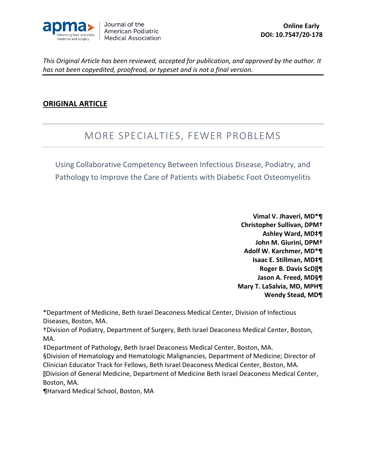

#### **ORIGINAL ARTICLE**

### MORE SPECIALTIES, FEWER PROBLEMS

Using Collaborative Competency Between Infectious Disease, Podiatry, and Pathology to Improve the Care of Patients with Diabetic Foot Osteomyelitis

> **Vimal V. Jhaveri, MD\*¶ Christopher Sullivan, DPM† Ashley Ward, MD‡¶ John M. Giurini, DPM† Adolf W. Karchmer, MD\*¶ Isaac E. Stillman, MD‡¶ Roger B. Davis ScD‖¶ Jason A. Freed, MD§¶ Mary T. LaSalvia, MD, MPH¶ Wendy Stead, MD¶**

\*Department of Medicine, Beth Israel Deaconess Medical Center, Division of Infectious Diseases, Boston, MA.

†Division of Podiatry, Department of Surgery, Beth Israel Deaconess Medical Center, Boston, MA.

‡Department of Pathology, Beth Israel Deaconess Medical Center, Boston, MA.

§Division of Hematology and Hematologic Malignancies, Department of Medicine; Director of Clinician Educator Track for Fellows, Beth Israel Deaconess Medical Center, Boston, MA. ‖Division of General Medicine, Department of Medicine Beth Israel Deaconess Medical Center, Boston, MA.

¶Harvard Medical School, Boston, MA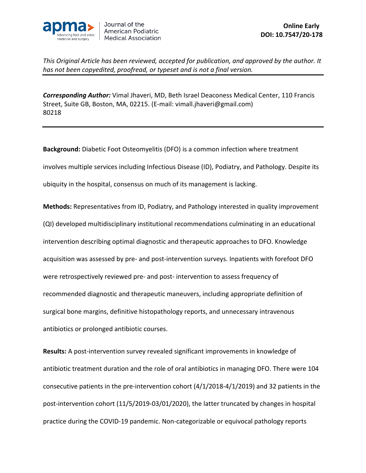

*Corresponding Author:* Vimal Jhaveri, MD, Beth Israel Deaconess Medical Center, 110 Francis Street, Suite GB, Boston, MA, 02215. (E-mail: vimall.jhaveri@gmail.com) 80218

**Background:** Diabetic Foot Osteomyelitis (DFO) is a common infection where treatment involves multiple services including Infectious Disease (ID), Podiatry, and Pathology. Despite its ubiquity in the hospital, consensus on much of its management is lacking.

**Methods:** Representatives from ID, Podiatry, and Pathology interested in quality improvement (QI) developed multidisciplinary institutional recommendations culminating in an educational intervention describing optimal diagnostic and therapeutic approaches to DFO. Knowledge acquisition was assessed by pre- and post-intervention surveys. Inpatients with forefoot DFO were retrospectively reviewed pre- and post- intervention to assess frequency of recommended diagnostic and therapeutic maneuvers, including appropriate definition of surgical bone margins, definitive histopathology reports, and unnecessary intravenous antibiotics or prolonged antibiotic courses.

**Results:** A post-intervention survey revealed significant improvements in knowledge of antibiotic treatment duration and the role of oral antibiotics in managing DFO. There were 104 consecutive patients in the pre-intervention cohort (4/1/2018-4/1/2019) and 32 patients in the post-intervention cohort (11/5/2019-03/01/2020), the latter truncated by changes in hospital practice during the COVID-19 pandemic. Non-categorizable or equivocal pathology reports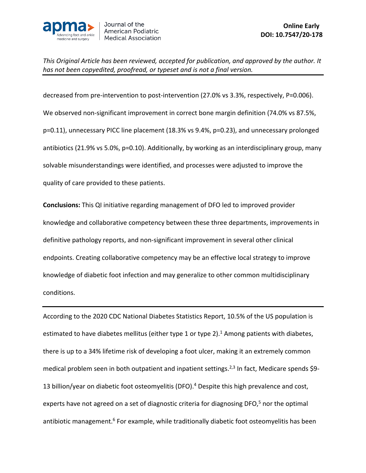

decreased from pre-intervention to post-intervention (27.0% vs 3.3%, respectively, P=0.006). We observed non-significant improvement in correct bone margin definition (74.0% vs 87.5%, p=0.11), unnecessary PICC line placement (18.3% vs 9.4%, p=0.23), and unnecessary prolonged antibiotics (21.9% vs 5.0%, p=0.10). Additionally, by working as an interdisciplinary group, many solvable misunderstandings were identified, and processes were adjusted to improve the quality of care provided to these patients.

**Conclusions:** This QI initiative regarding management of DFO led to improved provider knowledge and collaborative competency between these three departments, improvements in definitive pathology reports, and non-significant improvement in several other clinical endpoints. Creating collaborative competency may be an effective local strategy to improve knowledge of diabetic foot infection and may generalize to other common multidisciplinary conditions.

According to the 2020 CDC National Diabetes Statistics Report, 10.5% of the US population is estimated to have diabetes mellitus (either type 1 or type 2).<sup>1</sup> Among patients with diabetes, there is up to a 34% lifetime risk of developing a foot ulcer, making it an extremely common medical problem seen in both outpatient and inpatient settings.<sup>2,3</sup> In fact, Medicare spends \$9-13 billion/year on diabetic foot osteomyelitis (DFO).<sup>4</sup> Despite this high prevalence and cost, experts have not agreed on a set of diagnostic criteria for diagnosing DFO,<sup>5</sup> nor the optimal antibiotic management.<sup>6</sup> For example, while traditionally diabetic foot osteomyelitis has been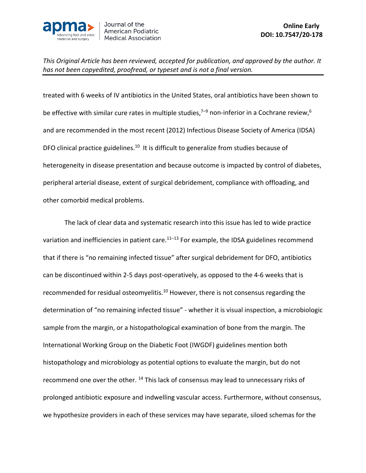

treated with 6 weeks of IV antibiotics in the United States, oral antibiotics have been shown to be effective with similar cure rates in multiple studies,<sup>7–9</sup> non-inferior in a Cochrane review,<sup>6</sup> and are recommended in the most recent (2012) Infectious Disease Society of America (IDSA) DFO clinical practice guidelines.<sup>10</sup> It is difficult to generalize from studies because of heterogeneity in disease presentation and because outcome is impacted by control of diabetes, peripheral arterial disease, extent of surgical debridement, compliance with offloading, and other comorbid medical problems.

The lack of clear data and systematic research into this issue has led to wide practice variation and inefficiencies in patient care.<sup>11–13</sup> For example, the IDSA guidelines recommend that if there is "no remaining infected tissue" after surgical debridement for DFO, antibiotics can be discontinued within 2-5 days post-operatively, as opposed to the 4-6 weeks that is recommended for residual osteomyelitis.<sup>10</sup> However, there is not consensus regarding the determination of "no remaining infected tissue" - whether it is visual inspection, a microbiologic sample from the margin, or a histopathological examination of bone from the margin. The International Working Group on the Diabetic Foot (IWGDF) guidelines mention both histopathology and microbiology as potential options to evaluate the margin, but do not recommend one over the other. <sup>14</sup> This lack of consensus may lead to unnecessary risks of prolonged antibiotic exposure and indwelling vascular access. Furthermore, without consensus, we hypothesize providers in each of these services may have separate, siloed schemas for the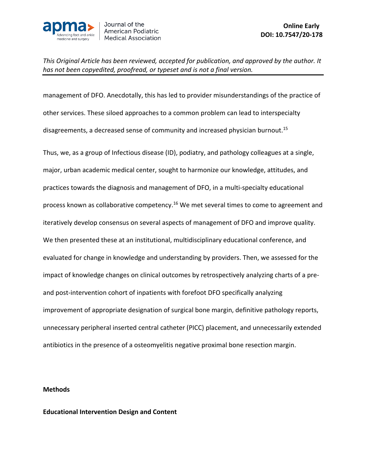

management of DFO. Anecdotally, this has led to provider misunderstandings of the practice of other services. These siloed approaches to a common problem can lead to interspecialty disagreements, a decreased sense of community and increased physician burnout.<sup>15</sup>

Thus, we, as a group of Infectious disease (ID), podiatry, and pathology colleagues at a single, major, urban academic medical center, sought to harmonize our knowledge, attitudes, and practices towards the diagnosis and management of DFO, in a multi-specialty educational process known as collaborative competency.<sup>16</sup> We met several times to come to agreement and iteratively develop consensus on several aspects of management of DFO and improve quality. We then presented these at an institutional, multidisciplinary educational conference, and evaluated for change in knowledge and understanding by providers. Then, we assessed for the impact of knowledge changes on clinical outcomes by retrospectively analyzing charts of a preand post-intervention cohort of inpatients with forefoot DFO specifically analyzing improvement of appropriate designation of surgical bone margin, definitive pathology reports, unnecessary peripheral inserted central catheter (PICC) placement, and unnecessarily extended antibiotics in the presence of a osteomyelitis negative proximal bone resection margin.

#### **Methods**

#### **Educational Intervention Design and Content**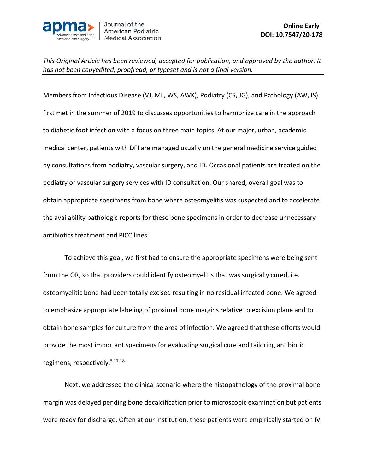

Members from Infectious Disease (VJ, ML, WS, AWK), Podiatry (CS, JG), and Pathology (AW, IS) first met in the summer of 2019 to discusses opportunities to harmonize care in the approach to diabetic foot infection with a focus on three main topics. At our major, urban, academic medical center, patients with DFI are managed usually on the general medicine service guided by consultations from podiatry, vascular surgery, and ID. Occasional patients are treated on the podiatry or vascular surgery services with ID consultation. Our shared, overall goal was to obtain appropriate specimens from bone where osteomyelitis was suspected and to accelerate the availability pathologic reports for these bone specimens in order to decrease unnecessary antibiotics treatment and PICC lines.

To achieve this goal, we first had to ensure the appropriate specimens were being sent from the OR, so that providers could identify osteomyelitis that was surgically cured, i.e. osteomyelitic bone had been totally excised resulting in no residual infected bone. We agreed to emphasize appropriate labeling of proximal bone margins relative to excision plane and to obtain bone samples for culture from the area of infection. We agreed that these efforts would provide the most important specimens for evaluating surgical cure and tailoring antibiotic regimens, respectively. 5,17,18

Next, we addressed the clinical scenario where the histopathology of the proximal bone margin was delayed pending bone decalcification prior to microscopic examination but patients were ready for discharge. Often at our institution, these patients were empirically started on IV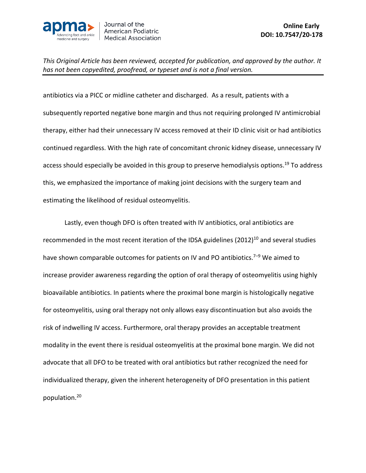

antibiotics via a PICC or midline catheter and discharged. As a result, patients with a subsequently reported negative bone margin and thus not requiring prolonged IV antimicrobial therapy, either had their unnecessary IV access removed at their ID clinic visit or had antibiotics continued regardless. With the high rate of concomitant chronic kidney disease, unnecessary IV access should especially be avoided in this group to preserve hemodialysis options.19 To address this, we emphasized the importance of making joint decisions with the surgery team and estimating the likelihood of residual osteomyelitis.

Lastly, even though DFO is often treated with IV antibiotics, oral antibiotics are recommended in the most recent iteration of the IDSA guidelines  $(2012)^{10}$  and several studies have shown comparable outcomes for patients on IV and PO antibiotics.<sup>7–9</sup> We aimed to increase provider awareness regarding the option of oral therapy of osteomyelitis using highly bioavailable antibiotics. In patients where the proximal bone margin is histologically negative for osteomyelitis, using oral therapy not only allows easy discontinuation but also avoids the risk of indwelling IV access. Furthermore, oral therapy provides an acceptable treatment modality in the event there is residual osteomyelitis at the proximal bone margin. We did not advocate that all DFO to be treated with oral antibiotics but rather recognized the need for individualized therapy, given the inherent heterogeneity of DFO presentation in this patient population.20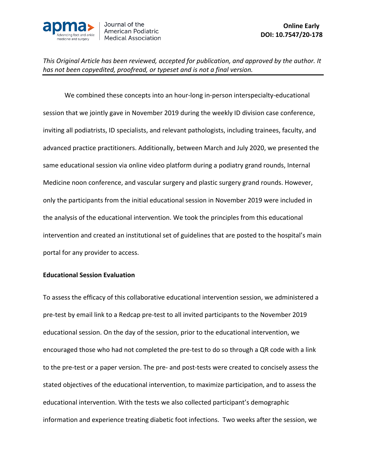

We combined these concepts into an hour-long in-person interspecialty-educational session that we jointly gave in November 2019 during the weekly ID division case conference, inviting all podiatrists, ID specialists, and relevant pathologists, including trainees, faculty, and advanced practice practitioners. Additionally, between March and July 2020, we presented the same educational session via online video platform during a podiatry grand rounds, Internal Medicine noon conference, and vascular surgery and plastic surgery grand rounds. However, only the participants from the initial educational session in November 2019 were included in the analysis of the educational intervention. We took the principles from this educational intervention and created an institutional set of guidelines that are posted to the hospital's main portal for any provider to access.

#### **Educational Session Evaluation**

To assess the efficacy of this collaborative educational intervention session, we administered a pre-test by email link to a Redcap pre-test to all invited participants to the November 2019 educational session. On the day of the session, prior to the educational intervention, we encouraged those who had not completed the pre-test to do so through a QR code with a link to the pre-test or a paper version. The pre- and post-tests were created to concisely assess the stated objectives of the educational intervention, to maximize participation, and to assess the educational intervention. With the tests we also collected participant's demographic information and experience treating diabetic foot infections. Two weeks after the session, we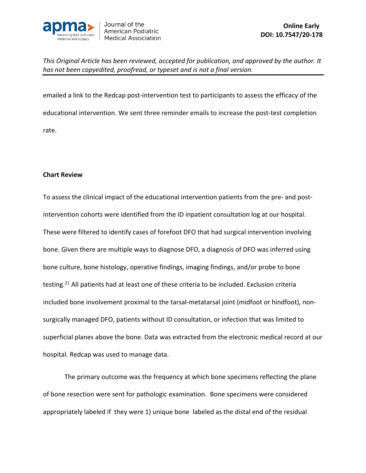

emailed a link to the Redcap post-intervention test to participants to assess the efficacy of the educational intervention. We sent three reminder emails to increase the post-test completion rate.

#### **Chart Review**

To assess the clinical impact of the educational intervention patients from the pre- and postintervention cohorts were identified from the ID inpatient consultation log at our hospital. These were filtered to identify cases of forefoot DFO that had surgical intervention involving bone. Given there are multiple ways to diagnose DFO, a diagnosis of DFO was inferred using bone culture, bone histology, operative findings, imaging findings, and/or probe to bone testing.<sup>21</sup> All patients had at least one of these criteria to be included. Exclusion criteria included bone involvement proximal to the tarsal-metatarsal joint (midfoot or hindfoot), nonsurgically managed DFO, patients without ID consultation, or infection that was limited to superficial planes above the bone. Data was extracted from the electronic medical record at our hospital. Redcap was used to manage data.

The primary outcome was the frequency at which bone specimens reflecting the plane of bone resection were sent for pathologic examination. Bone specimens were considered appropriately labeled if they were 1) unique bone labeled as the distal end of the residual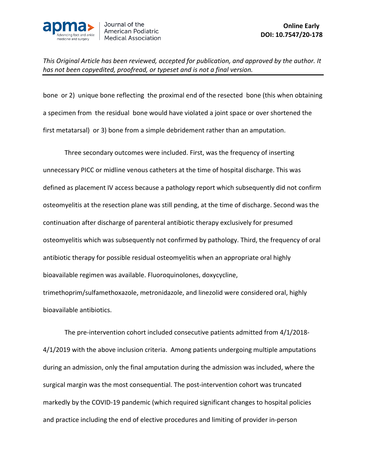

bone or 2) unique bone reflecting the proximal end of the resected bone (this when obtaining a specimen from the residual bone would have violated a joint space or over shortened the first metatarsal) or 3) bone from a simple debridement rather than an amputation.

Three secondary outcomes were included. First, was the frequency of inserting unnecessary PICC or midline venous catheters at the time of hospital discharge. This was defined as placement IV access because a pathology report which subsequently did not confirm osteomyelitis at the resection plane was still pending, at the time of discharge. Second was the continuation after discharge of parenteral antibiotic therapy exclusively for presumed osteomyelitis which was subsequently not confirmed by pathology. Third, the frequency of oral antibiotic therapy for possible residual osteomyelitis when an appropriate oral highly bioavailable regimen was available. Fluoroquinolones, doxycycline, trimethoprim/sulfamethoxazole, metronidazole, and linezolid were considered oral, highly bioavailable antibiotics.

The pre-intervention cohort included consecutive patients admitted from 4/1/2018- 4/1/2019 with the above inclusion criteria. Among patients undergoing multiple amputations during an admission, only the final amputation during the admission was included, where the surgical margin was the most consequential. The post-intervention cohort was truncated markedly by the COVID-19 pandemic (which required significant changes to hospital policies and practice including the end of elective procedures and limiting of provider in-person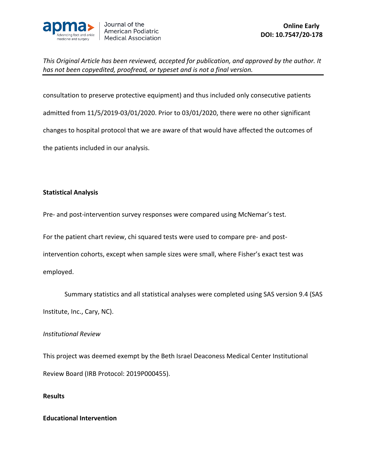

consultation to preserve protective equipment) and thus included only consecutive patients admitted from 11/5/2019-03/01/2020. Prior to 03/01/2020, there were no other significant changes to hospital protocol that we are aware of that would have affected the outcomes of the patients included in our analysis.

#### **Statistical Analysis**

Pre- and post-intervention survey responses were compared using McNemar's test.

For the patient chart review, chi squared tests were used to compare pre- and postintervention cohorts, except when sample sizes were small, where Fisher's exact test was employed.

Summary statistics and all statistical analyses were completed using SAS version 9.4 (SAS Institute, Inc., Cary, NC).

#### *Institutional Review*

This project was deemed exempt by the Beth Israel Deaconess Medical Center Institutional Review Board (IRB Protocol: 2019P000455).

#### **Results**

#### **Educational Intervention**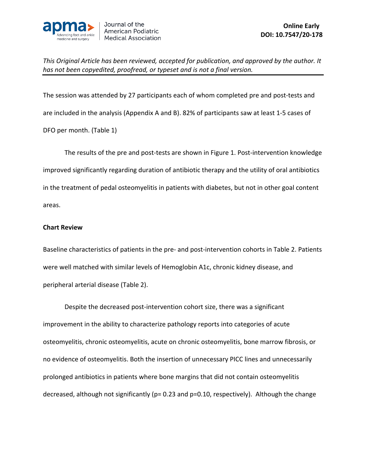

The session was attended by 27 participants each of whom completed pre and post-tests and are included in the analysis (Appendix A and B). 82% of participants saw at least 1-5 cases of DFO per month. (Table 1)

The results of the pre and post-tests are shown in Figure 1. Post-intervention knowledge improved significantly regarding duration of antibiotic therapy and the utility of oral antibiotics in the treatment of pedal osteomyelitis in patients with diabetes, but not in other goal content areas.

#### **Chart Review**

Baseline characteristics of patients in the pre- and post-intervention cohorts in Table 2. Patients were well matched with similar levels of Hemoglobin A1c, chronic kidney disease, and peripheral arterial disease (Table 2).

Despite the decreased post-intervention cohort size, there was a significant improvement in the ability to characterize pathology reports into categories of acute osteomyelitis, chronic osteomyelitis, acute on chronic osteomyelitis, bone marrow fibrosis, or no evidence of osteomyelitis. Both the insertion of unnecessary PICC lines and unnecessarily prolonged antibiotics in patients where bone margins that did not contain osteomyelitis decreased, although not significantly (p= 0.23 and p=0.10, respectively). Although the change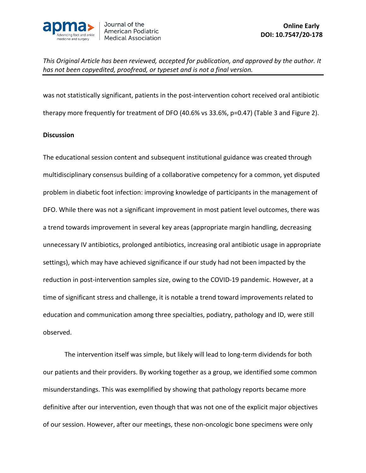

was not statistically significant, patients in the post-intervention cohort received oral antibiotic therapy more frequently for treatment of DFO (40.6% vs 33.6%, p=0.47) (Table 3 and Figure 2).

#### **Discussion**

The educational session content and subsequent institutional guidance was created through multidisciplinary consensus building of a collaborative competency for a common, yet disputed problem in diabetic foot infection: improving knowledge of participants in the management of DFO. While there was not a significant improvement in most patient level outcomes, there was a trend towards improvement in several key areas (appropriate margin handling, decreasing unnecessary IV antibiotics, prolonged antibiotics, increasing oral antibiotic usage in appropriate settings), which may have achieved significance if our study had not been impacted by the reduction in post-intervention samples size, owing to the COVID-19 pandemic. However, at a time of significant stress and challenge, it is notable a trend toward improvements related to education and communication among three specialties, podiatry, pathology and ID, were still observed.

The intervention itself was simple, but likely will lead to long-term dividends for both our patients and their providers. By working together as a group, we identified some common misunderstandings. This was exemplified by showing that pathology reports became more definitive after our intervention, even though that was not one of the explicit major objectives of our session. However, after our meetings, these non-oncologic bone specimens were only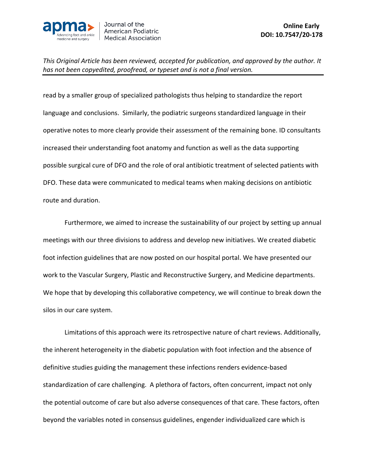

read by a smaller group of specialized pathologists thus helping to standardize the report language and conclusions. Similarly, the podiatric surgeons standardized language in their operative notes to more clearly provide their assessment of the remaining bone. ID consultants increased their understanding foot anatomy and function as well as the data supporting possible surgical cure of DFO and the role of oral antibiotic treatment of selected patients with DFO. These data were communicated to medical teams when making decisions on antibiotic route and duration.

Furthermore, we aimed to increase the sustainability of our project by setting up annual meetings with our three divisions to address and develop new initiatives. We created diabetic foot infection guidelines that are now posted on our hospital portal. We have presented our work to the Vascular Surgery, Plastic and Reconstructive Surgery, and Medicine departments. We hope that by developing this collaborative competency, we will continue to break down the silos in our care system.

Limitations of this approach were its retrospective nature of chart reviews. Additionally, the inherent heterogeneity in the diabetic population with foot infection and the absence of definitive studies guiding the management these infections renders evidence-based standardization of care challenging. A plethora of factors, often concurrent, impact not only the potential outcome of care but also adverse consequences of that care. These factors, often beyond the variables noted in consensus guidelines, engender individualized care which is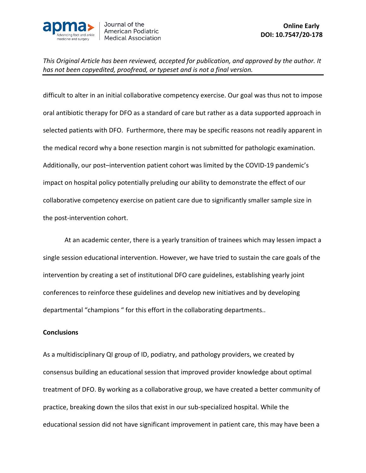

difficult to alter in an initial collaborative competency exercise. Our goal was thus not to impose oral antibiotic therapy for DFO as a standard of care but rather as a data supported approach in selected patients with DFO. Furthermore, there may be specific reasons not readily apparent in the medical record why a bone resection margin is not submitted for pathologic examination. Additionally, our post–intervention patient cohort was limited by the COVID-19 pandemic's impact on hospital policy potentially preluding our ability to demonstrate the effect of our collaborative competency exercise on patient care due to significantly smaller sample size in the post-intervention cohort.

At an academic center, there is a yearly transition of trainees which may lessen impact a single session educational intervention. However, we have tried to sustain the care goals of the intervention by creating a set of institutional DFO care guidelines, establishing yearly joint conferences to reinforce these guidelines and develop new initiatives and by developing departmental "champions " for this effort in the collaborating departments..

#### **Conclusions**

As a multidisciplinary QI group of ID, podiatry, and pathology providers, we created by consensus building an educational session that improved provider knowledge about optimal treatment of DFO. By working as a collaborative group, we have created a better community of practice, breaking down the silos that exist in our sub-specialized hospital. While the educational session did not have significant improvement in patient care, this may have been a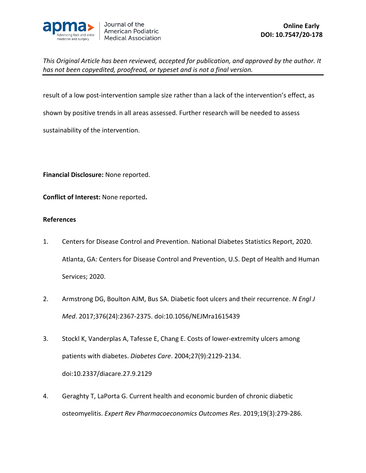

result of a low post-intervention sample size rather than a lack of the intervention's effect, as shown by positive trends in all areas assessed. Further research will be needed to assess sustainability of the intervention.

**Financial Disclosure:** None reported.

**Conflict of Interest:** None reported**.**

#### **References**

- 1. Centers for Disease Control and Prevention. National Diabetes Statistics Report, 2020. Atlanta, GA: Centers for Disease Control and Prevention, U.S. Dept of Health and Human Services; 2020.
- 2. Armstrong DG, Boulton AJM, Bus SA. Diabetic foot ulcers and their recurrence. *N Engl J Med*. 2017;376(24):2367-2375. doi:10.1056/NEJMra1615439
- 3. Stockl K, Vanderplas A, Tafesse E, Chang E. Costs of lower-extremity ulcers among patients with diabetes. *Diabetes Care*. 2004;27(9):2129-2134. doi:10.2337/diacare.27.9.2129
- 4. Geraghty T, LaPorta G. Current health and economic burden of chronic diabetic osteomyelitis. *Expert Rev Pharmacoeconomics Outcomes Res*. 2019;19(3):279-286.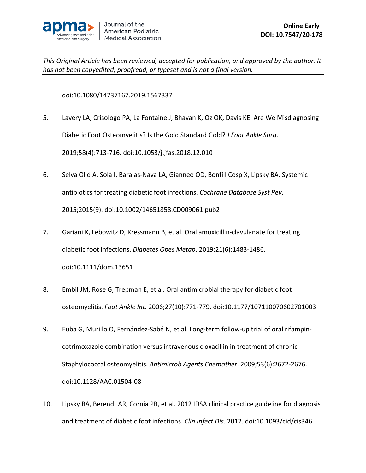

doi:10.1080/14737167.2019.1567337

- 5. Lavery LA, Crisologo PA, La Fontaine J, Bhavan K, Oz OK, Davis KE. Are We Misdiagnosing Diabetic Foot Osteomyelitis? Is the Gold Standard Gold? *J Foot Ankle Surg*. 2019;58(4):713-716. doi:10.1053/j.jfas.2018.12.010
- 6. Selva Olid A, Solà I, Barajas-Nava LA, Gianneo OD, Bonfill Cosp X, Lipsky BA. Systemic antibiotics for treating diabetic foot infections. *Cochrane Database Syst Rev*. 2015;2015(9). doi:10.1002/14651858.CD009061.pub2
- 7. Gariani K, Lebowitz D, Kressmann B, et al. Oral amoxicillin-clavulanate for treating diabetic foot infections. *Diabetes Obes Metab*. 2019;21(6):1483-1486. doi:10.1111/dom.13651
- 8. Embil JM, Rose G, Trepman E, et al. Oral antimicrobial therapy for diabetic foot osteomyelitis. *Foot Ankle Int*. 2006;27(10):771-779. doi:10.1177/107110070602701003
- 9. Euba G, Murillo O, Fernández-Sabé N, et al. Long-term follow-up trial of oral rifampincotrimoxazole combination versus intravenous cloxacillin in treatment of chronic Staphylococcal osteomyelitis. *Antimicrob Agents Chemother*. 2009;53(6):2672-2676. doi:10.1128/AAC.01504-08
- 10. Lipsky BA, Berendt AR, Cornia PB, et al. 2012 IDSA clinical practice guideline for diagnosis and treatment of diabetic foot infections. *Clin Infect Dis*. 2012. doi:10.1093/cid/cis346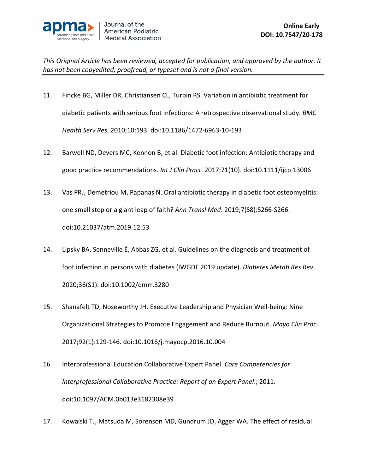

- 11. Fincke BG, Miller DR, Christiansen CL, Turpin RS. Variation in antibiotic treatment for diabetic patients with serious foot infections: A retrospective observational study. *BMC Health Serv Res*. 2010;10:193. doi:10.1186/1472-6963-10-193
- 12. Barwell ND, Devers MC, Kennon B, et al. Diabetic foot infection: Antibiotic therapy and good practice recommendations. *Int J Clin Pract*. 2017;71(10). doi:10.1111/ijcp.13006
- 13. Vas PRJ, Demetriou M, Papanas N. Oral antibiotic therapy in diabetic foot osteomyelitis: one small step or a giant leap of faith? *Ann Transl Med*. 2019;7(S8):S266-S266. doi:10.21037/atm.2019.12.53
- 14. Lipsky BA, Senneville É, Abbas ZG, et al. Guidelines on the diagnosis and treatment of foot infection in persons with diabetes (IWGDF 2019 update). *Diabetes Metab Res Rev*. 2020;36(S1). doi:10.1002/dmrr.3280
- 15. Shanafelt TD, Noseworthy JH. Executive Leadership and Physician Well-being: Nine Organizational Strategies to Promote Engagement and Reduce Burnout. *Mayo Clin Proc*. 2017;92(1):129-146. doi:10.1016/j.mayocp.2016.10.004
- 16. Interprofessional Education Collaborative Expert Panel. *Core Competencies for Interprofessional Collaborative Practice: Report of an Expert Panel*.; 2011. doi:10.1097/ACM.0b013e3182308e39
- 17. Kowalski TJ, Matsuda M, Sorenson MD, Gundrum JD, Agger WA. The effect of residual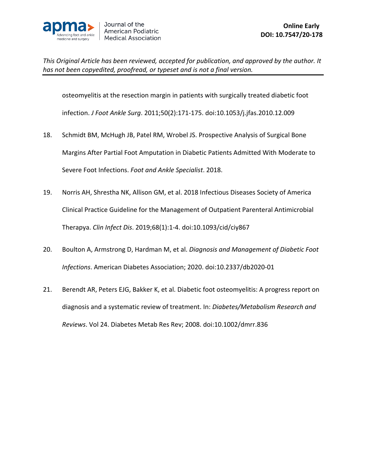

osteomyelitis at the resection margin in patients with surgically treated diabetic foot

infection. *J Foot Ankle Surg*. 2011;50(2):171-175. doi:10.1053/j.jfas.2010.12.009

- 18. Schmidt BM, McHugh JB, Patel RM, Wrobel JS. Prospective Analysis of Surgical Bone Margins After Partial Foot Amputation in Diabetic Patients Admitted With Moderate to Severe Foot Infections. *Foot and Ankle Specialist*. 2018.
- 19. Norris AH, Shrestha NK, Allison GM, et al. 2018 Infectious Diseases Society of America Clinical Practice Guideline for the Management of Outpatient Parenteral Antimicrobial Therapya. *Clin Infect Dis*. 2019;68(1):1-4. doi:10.1093/cid/ciy867
- 20. Boulton A, Armstrong D, Hardman M, et al. *Diagnosis and Management of Diabetic Foot Infections*. American Diabetes Association; 2020. doi:10.2337/db2020-01
- 21. Berendt AR, Peters EJG, Bakker K, et al. Diabetic foot osteomyelitis: A progress report on diagnosis and a systematic review of treatment. In: *Diabetes/Metabolism Research and Reviews*. Vol 24. Diabetes Metab Res Rev; 2008. doi:10.1002/dmrr.836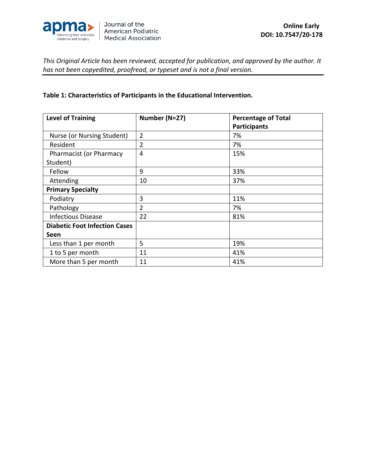

#### **Table 1: Characteristics of Participants in the Educational Intervention.**

| <b>Level of Training</b>             | Number (N=27)  | <b>Percentage of Total</b> |  |  |  |
|--------------------------------------|----------------|----------------------------|--|--|--|
|                                      |                | <b>Participants</b>        |  |  |  |
| Nurse (or Nursing Student)           | $\overline{2}$ | 7%                         |  |  |  |
| Resident                             | $\overline{2}$ | 7%                         |  |  |  |
| <b>Pharmacist (or Pharmacy</b>       | $\overline{4}$ | 15%                        |  |  |  |
| Student)                             |                |                            |  |  |  |
| Fellow                               | 9              | 33%                        |  |  |  |
| Attending                            | 10             | 37%                        |  |  |  |
| <b>Primary Specialty</b>             |                |                            |  |  |  |
| Podiatry                             | 3              | 11%                        |  |  |  |
| Pathology                            | $\overline{2}$ | 7%                         |  |  |  |
| <b>Infectious Disease</b>            | 22             | 81%                        |  |  |  |
| <b>Diabetic Foot Infection Cases</b> |                |                            |  |  |  |
| Seen                                 |                |                            |  |  |  |
| Less than 1 per month                | 5              | 19%                        |  |  |  |
| 1 to 5 per month                     | 11             | 41%                        |  |  |  |
| More than 5 per month                | 11             | 41%                        |  |  |  |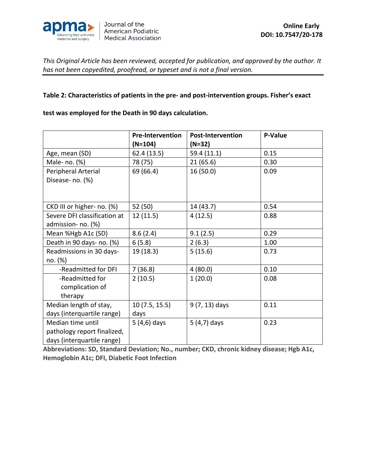

#### **Table 2: Characteristics of patients in the pre- and post-intervention groups. Fisher's exact**

#### **test was employed for the Death in 90 days calculation.**

|                              | <b>Pre-Intervention</b> | <b>Post-Intervention</b> | <b>P-Value</b> |  |  |
|------------------------------|-------------------------|--------------------------|----------------|--|--|
|                              | $(N=104)$               | (N=32)                   |                |  |  |
| Age, mean (SD)               | 62.4 (13.5)             | 59.4 (11.1)              | 0.15           |  |  |
| Male- no. (%)                | 78 (75)                 | 21(65.6)                 | 0.30           |  |  |
| Peripheral Arterial          | 69 (66.4)               | 16 (50.0)                | 0.09           |  |  |
| Disease- no. (%)             |                         |                          |                |  |  |
|                              |                         |                          |                |  |  |
|                              |                         |                          |                |  |  |
| CKD III or higher- no. (%)   | 52 (50)                 | 14 (43.7)                | 0.54           |  |  |
| Severe DFI classification at | 12(11.5)                | 4(12.5)                  | 0.88           |  |  |
| admission- no. (%)           |                         |                          |                |  |  |
| Mean %Hgb A1c (SD)           | 8.6(2.4)                | 9.1(2.5)                 | 0.29           |  |  |
| Death in 90 days- no. (%)    | 6(5.8)                  | 2(6.3)                   | 1.00           |  |  |
| Readmissions in 30 days-     | 19 (18.3)               | 5(15.6)                  | 0.73           |  |  |
| no. (%)                      |                         |                          |                |  |  |
| -Readmitted for DFI          | 7(36.8)                 | 4(80.0)                  | 0.10           |  |  |
| -Readmitted for              | 2(10.5)                 | 1(20.0)                  | 0.08           |  |  |
| complication of              |                         |                          |                |  |  |
| therapy                      |                         |                          |                |  |  |
| Median length of stay,       | 10(7.5, 15.5)           | $9(7, 13)$ days          | 0.11           |  |  |
| days (interquartile range)   | days                    |                          |                |  |  |
| Median time until            | 5 (4,6) days            | $5(4,7)$ days            | 0.23           |  |  |
| pathology report finalized,  |                         |                          |                |  |  |
| days (interquartile range)   |                         |                          |                |  |  |

**Abbreviations: SD, Standard Deviation; No., number; CKD, chronic kidney disease; Hgb A1c, Hemoglobin A1c; DFI, Diabetic Foot Infection**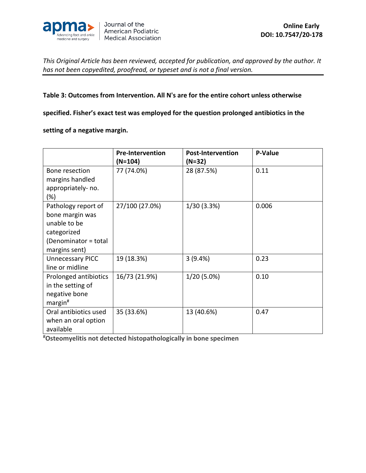

#### **Table 3: Outcomes from Intervention. All N's are for the entire cohort unless otherwise**

**specified. Fisher's exact test was employed for the question prolonged antibiotics in the** 

**setting of a negative margin.**

|                                                                                                                | <b>Pre-Intervention</b><br>$(N=104)$ | <b>Post-Intervention</b><br>(N=32) | <b>P-Value</b> |  |  |
|----------------------------------------------------------------------------------------------------------------|--------------------------------------|------------------------------------|----------------|--|--|
| Bone resection<br>margins handled<br>appropriately-no.<br>$(\%)$                                               | 77 (74.0%)                           | 28 (87.5%)                         | 0.11           |  |  |
| Pathology report of<br>bone margin was<br>unable to be<br>categorized<br>(Denominator = total<br>margins sent) | 27/100 (27.0%)                       | 1/30 (3.3%)                        | 0.006          |  |  |
| <b>Unnecessary PICC</b><br>line or midline                                                                     | 19 (18.3%)                           | 3(9.4%)                            | 0.23           |  |  |
| Prolonged antibiotics<br>in the setting of<br>negative bone<br>$margin$ #                                      | 16/73 (21.9%)                        | $1/20(5.0\%)$                      | 0.10           |  |  |
| Oral antibiotics used<br>when an oral option<br>available                                                      | 35 (33.6%)                           | 13 (40.6%)                         | 0.47           |  |  |

**# Osteomyelitis not detected histopathologically in bone specimen**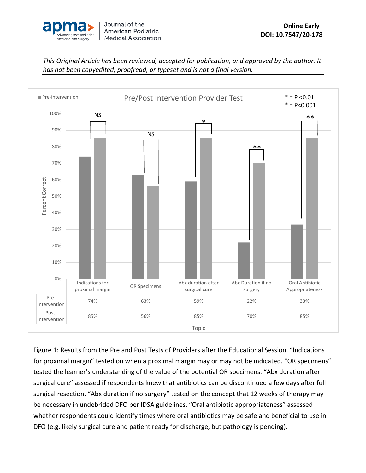



Figure 1: Results from the Pre and Post Tests of Providers after the Educational Session. "Indications for proximal margin" tested on when a proximal margin may or may not be indicated. "OR specimens" tested the learner's understanding of the value of the potential OR specimens. "Abx duration after surgical cure" assessed if respondents knew that antibiotics can be discontinued a few days after full surgical resection. "Abx duration if no surgery" tested on the concept that 12 weeks of therapy may be necessary in undebrided DFO per IDSA guidelines, "Oral antibiotic appropriateness" assessed whether respondents could identify times where oral antibiotics may be safe and beneficial to use in DFO (e.g. likely surgical cure and patient ready for discharge, but pathology is pending).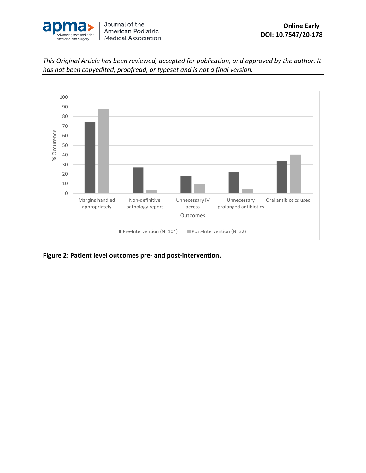



**Figure 2: Patient level outcomes pre- and post-intervention.**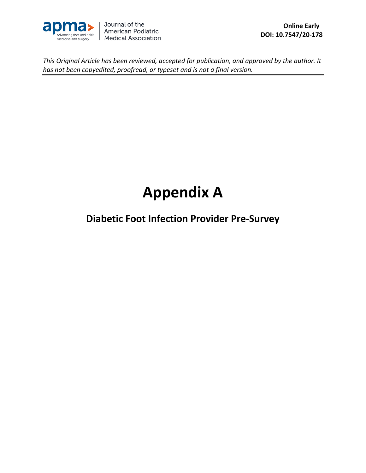

# **Appendix A**

**Diabetic Foot Infection Provider Pre-Survey**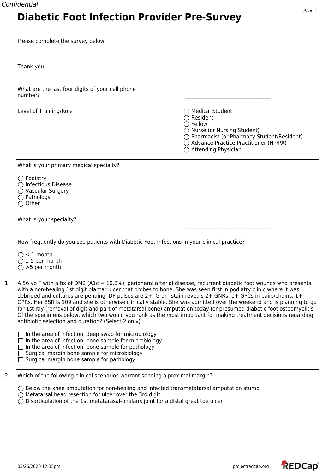#### Confidential

## **Diabetic Foot Infection Provider Pre-Survey**

Please complete the survey below.

Thank you!

| What are the last four digits of your cell phone<br>number? |                                                                                                                                                                                                                                             |
|-------------------------------------------------------------|---------------------------------------------------------------------------------------------------------------------------------------------------------------------------------------------------------------------------------------------|
| Level of Training/Role                                      | $\bigcirc$ Medical Student<br>$\bigcirc$ Resident<br>$\bigcirc$ Fellow<br>$\bigcirc$ Nurse (or Nursing Student)<br>◯ Pharmacist (or Pharmacy Student/Resident)<br>◯ Advance Practice Practitioner (NP/PA)<br>$\bigcirc$ Attending Physician |

What is your primary medical specialty?

| $\bigcirc$ Podiatry           |  |
|-------------------------------|--|
| $\bigcirc$ Infectious Disease |  |
| ◯ Vascular Surgery            |  |
| $\bigcirc$ Pathology          |  |
| $\bigcirc$ Other              |  |

What is your specialty?

How frequently do you see patients with Diabetic Foot Infections in your clinical practice?

 $\bigcirc$  < 1 month  $\bigcirc$  1-5 per month  $\bigcirc$  >5 per month

1 A 56 yo F with a hx of DM2 (A1c = 10.8%), peripheral arterial disease, recurrent diabetic foot wounds who presents with a non-healing 1st digit plantar ulcer that probes to bone. She was seen first in podiatry clinic where it was debrided and cultures are pending. DP pulses are 2+. Gram stain reveals 2+ GNRs, 1+ GPCs in pairs/chains, 1+ GPRs. Her ESR is 109 and she is otherwise clinically stable. She was admitted over the weekend and is planning to go for 1st ray (removal of digit and part of metatarsal bone) amputation today for presumed diabetic foot osteomyelitis. Of the specimens below, which two would you rank as the most important for making treatment decisions regarding antibiotic selection and duration? (Select 2 only)

 $\Box$  In the area of infection, deep swab for microbiology  $\Box$  In the area of infection, bone sample for microbiology  $\Box$  In the area of infection, bone sample for pathology  $\Box$  Surgical margin bone sample for microbiology

 $\Box$  Surgical margin bone sample for pathology

2 Which of the following clinical scenarios warrant sending a proximal margin?

 $\bigcirc$  Below the knee amputation for non-healing and infected transmetatarsal amputation stump

 $\bigcirc$  Metatarsal head resection for ulcer over the 3rd digit

 $\bigcirc$  Disarticulation of the 1st metatarasal-phalanx joint for a distal great toe ulcer

\_\_\_\_\_\_\_\_\_\_\_\_\_\_\_\_\_\_\_\_\_\_\_\_\_\_\_\_\_\_\_\_\_\_

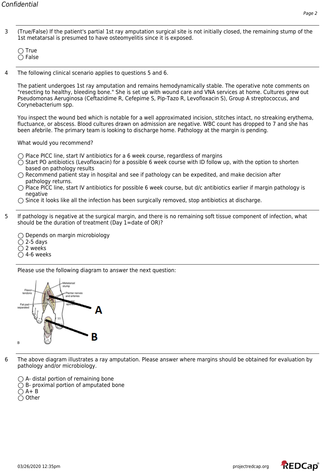3 (True/False) If the patient's partial 1st ray amputation surgical site is not initially closed, the remaining stump of the 1st metatarsal is presumed to have osteomyelitis since it is exposed.

 $\bigcirc$  True  $\bigcirc$  False

4 The following clinical scenario applies to questions 5 and 6.

The patient undergoes 1st ray amputation and remains hemodynamically stable. The operative note comments on "resecting to healthy, bleeding bone." She is set up with wound care and VNA services at home. Cultures grew out Pseudomonas Aeruginosa (Ceftazidime R, Cefepime S, Pip-Tazo R, Levofloxacin S), Group A streptococcus, and Corynebacterium spp.

You inspect the wound bed which is notable for a well approximated incision, stitches intact, no streaking erythema, fluctuance, or abscess. Blood cultures drawn on admission are negative. WBC count has dropped to 7 and she has been afebrile. The primary team is looking to discharge home. Pathology at the margin is pending.

What would you recommend?

 $\bigcirc$  Place PICC line, start IV antibiotics for a 6 week course, regardless of margins

- $\bigcirc$  Start PO antibiotics (Levofloxacin) for a possible 6 week course with ID follow up, with the option to shorten based on pathology results
- $\bigcirc$  Recommend patient stay in hospital and see if pathology can be expedited, and make decision after pathology returns.
- $\bigcirc$  Place PICC line, start IV antibiotics for possible 6 week course, but d/c antibiotics earlier if margin pathology is negative
- $\bigcirc$  Since it looks like all the infection has been surgically removed, stop antibiotics at discharge.
- 5 If pathology is negative at the surgical margin, and there is no remaining soft tissue component of infection, what should be the duration of treatment (Day 1=date of OR)?

 $\bigcirc$  Depends on margin microbiology  $\bigcirc$  2-5 days  $\bigcirc$  2 weeks  $\bigcirc$  4-6 weeks

Please use the following diagram to answer the next question:



6 The above diagram illustrates a ray amputation. Please answer where margins should be obtained for evaluation by pathology and/or microbiology.

 $\bigcirc$  A- distal portion of remaining bone  $\bigcirc$  B- proximal portion of amputated bone  $O$  A+ B  $\bigcirc$  Other

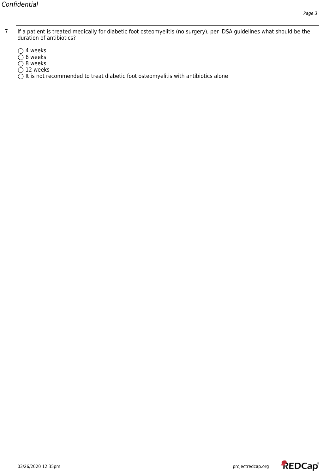- 7 If a patient is treated medically for diabetic foot osteomyelitis (no surgery), per IDSA guidelines what should be the duration of antibiotics?
	- $\bigcirc$  4 weeks
	- 6 weeks
	- 8 weeks
	- $\bigcirc$  12 weeks

 $\tilde{O}$  It is not recommended to treat diabetic foot osteomyelitis with antibiotics alone

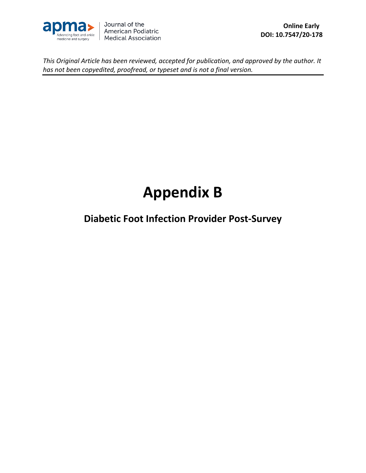

## **Appendix B**

**Diabetic Foot Infection Provider Post-Survey**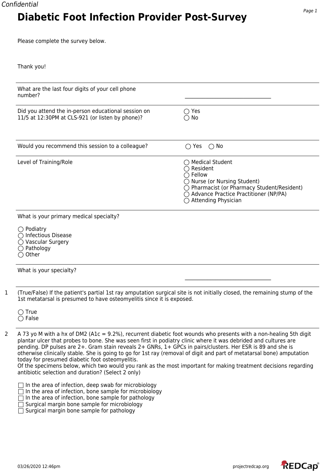#### Confidential

## **Diabetic Foot Infection Provider Post-Survey**

Please complete the survey below.

| Thank you! |  |
|------------|--|
|------------|--|

| What are the last four digits of your cell phone<br>number?                                                   |                                                                                                                                                                                                                                    |
|---------------------------------------------------------------------------------------------------------------|------------------------------------------------------------------------------------------------------------------------------------------------------------------------------------------------------------------------------------|
| Did you attend the in-person educational session on<br>11/5 at 12:30PM at CLS-921 (or listen by phone)?       | $\bigcirc$ Yes<br>$\bigcirc$ No                                                                                                                                                                                                    |
| Would you recommend this session to a colleague?                                                              | $\bigcirc$ No<br>$\bigcirc$ Yes                                                                                                                                                                                                    |
| Level of Training/Role                                                                                        | $\bigcirc$ Medical Student<br>$\bigcirc$ Resident<br>$\bigcirc$ Fellow<br>◯ Nurse (or Nursing Student)<br>◯ Pharmacist (or Pharmacy Student/Resident)<br>◯ Advance Practice Practitioner (NP/PA)<br>$\bigcirc$ Attending Physician |
| What is your primary medical specialty?                                                                       |                                                                                                                                                                                                                                    |
| $\bigcirc$ Podiatry<br>◯ Infectious Disease<br>◯ Vascular Surgery<br>$\bigcirc$ Pathology<br>$\bigcirc$ Other |                                                                                                                                                                                                                                    |
| What is your specialty?                                                                                       |                                                                                                                                                                                                                                    |

2 A 73 yo M with a hx of DM2 (A1c = 9.2%), recurrent diabetic foot wounds who presents with a non-healing 5th digit plantar ulcer that probes to bone. She was seen first in podiatry clinic where it was debrided and cultures are pending. DP pulses are 2+. Gram stain reveals 2+ GNRs, 1+ GPCs in pairs/clusters. Her ESR is 89 and she is otherwise clinically stable. She is going to go for 1st ray (removal of digit and part of metatarsal bone) amputation today for presumed diabetic foot osteomyelitis.

Of the specimens below, which two would you rank as the most important for making treatment decisions regarding antibiotic selection and duration? (Select 2 only)

|  | $\sqsupset$ In the area of infection, deep swab for microbiology |  |                                                                                                                 |  |  |  |
|--|------------------------------------------------------------------|--|-----------------------------------------------------------------------------------------------------------------|--|--|--|
|  |                                                                  |  | the contract of the contract of the contract of the contract of the contract of the contract of the contract of |  |  |  |

- $\Box$  In the area of infection, bone sample for microbiology
- $\Box$  In the area of infection, bone sample for pathology
- $\Box$  Surgical margin bone sample for microbiology
- $\Box$  Surgical margin bone sample for pathology

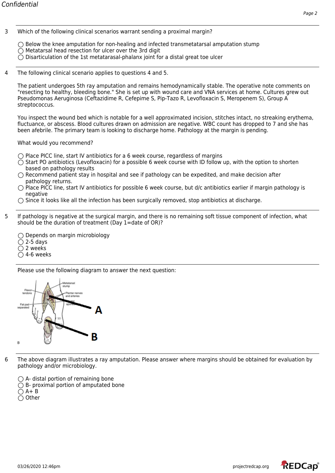$\bigcirc$  Below the knee amputation for non-healing and infected transmetatarsal amputation stump  $\bigcirc$  Metatarsal head resection for ulcer over the 3rd digit  $\bigcirc$  Disarticulation of the 1st metatarasal-phalanx joint for a distal great toe ulcer

4 The following clinical scenario applies to questions 4 and 5.

The patient undergoes 5th ray amputation and remains hemodynamically stable. The operative note comments on "resecting to healthy, bleeding bone." She is set up with wound care and VNA services at home. Cultures grew out Pseudomonas Aeruginosa (Ceftazidime R, Cefepime S, Pip-Tazo R, Levofloxacin S, Meropenem S), Group A streptococcus.

You inspect the wound bed which is notable for a well approximated incision, stitches intact, no streaking erythema, fluctuance, or abscess. Blood cultures drawn on admission are negative. WBC count has dropped to 7 and she has been afebrile. The primary team is looking to discharge home. Pathology at the margin is pending.

What would you recommend?

 $\bigcirc$  Place PICC line, start IV antibiotics for a 6 week course, regardless of margins

- $\bigcirc$  Start PO antibiotics (Levofloxacin) for a possible 6 week course with ID follow up, with the option to shorten based on pathology results
- $\bigcirc$  Recommend patient stay in hospital and see if pathology can be expedited, and make decision after pathology returns.
- $\bigcirc$  Place PICC line, start IV antibiotics for possible 6 week course, but d/c antibiotics earlier if margin pathology is negative
- $\bigcirc$  Since it looks like all the infection has been surgically removed, stop antibiotics at discharge.
- 5 If pathology is negative at the surgical margin, and there is no remaining soft tissue component of infection, what should be the duration of treatment (Day 1=date of OR)?

 $\bigcirc$  Depends on margin microbiology  $\bigcirc$  2-5 days  $\bigcirc$  2 weeks  $\overline{O}$  4-6 weeks

Please use the following diagram to answer the next question:



6 The above diagram illustrates a ray amputation. Please answer where margins should be obtained for evaluation by pathology and/or microbiology.

 $\bigcirc$  A- distal portion of remaining bone  $\bigcirc$  B- proximal portion of amputated bone  $O$  A+ B  $\bigcirc$  Other